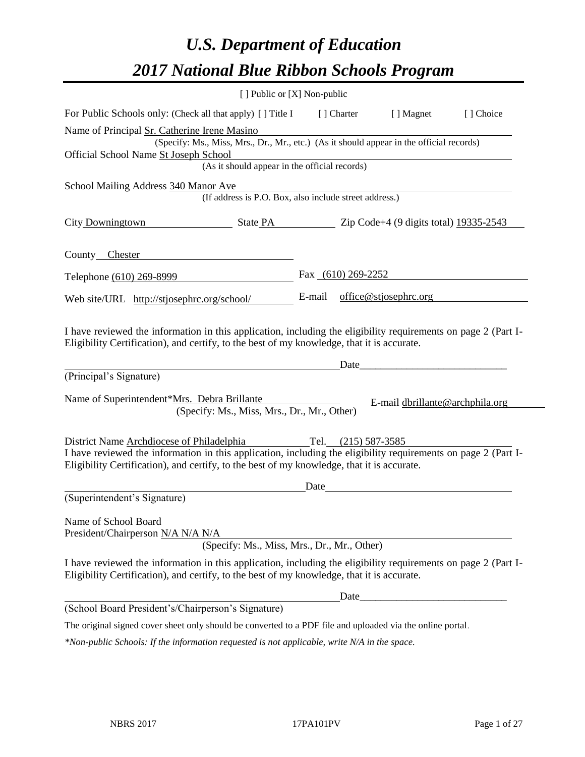# *U.S. Department of Education 2017 National Blue Ribbon Schools Program*

|                                                                                                                                                                                                              | [ ] Public or [X] Non-public                           |      |                      |                                                                                                                                                                                                                                |           |
|--------------------------------------------------------------------------------------------------------------------------------------------------------------------------------------------------------------|--------------------------------------------------------|------|----------------------|--------------------------------------------------------------------------------------------------------------------------------------------------------------------------------------------------------------------------------|-----------|
| For Public Schools only: (Check all that apply) [] Title I                                                                                                                                                   |                                                        |      | [ ] Charter          | [ ] Magnet                                                                                                                                                                                                                     | [] Choice |
| Name of Principal Sr. Catherine Irene Masino                                                                                                                                                                 |                                                        |      |                      |                                                                                                                                                                                                                                |           |
| (Specify: Ms., Miss, Mrs., Dr., Mr., etc.) (As it should appear in the official records)                                                                                                                     |                                                        |      |                      |                                                                                                                                                                                                                                |           |
| Official School Name St Joseph School<br>(As it should appear in the official records)                                                                                                                       |                                                        |      |                      |                                                                                                                                                                                                                                |           |
|                                                                                                                                                                                                              |                                                        |      |                      |                                                                                                                                                                                                                                |           |
| School Mailing Address 340 Manor Ave                                                                                                                                                                         | (If address is P.O. Box, also include street address.) |      |                      |                                                                                                                                                                                                                                |           |
| City Downingtown State PA Zip Code+4 (9 digits total) 19335-2543                                                                                                                                             |                                                        |      |                      |                                                                                                                                                                                                                                |           |
| County Chester                                                                                                                                                                                               |                                                        |      |                      |                                                                                                                                                                                                                                |           |
| Telephone (610) 269-8999                                                                                                                                                                                     |                                                        |      | Fax $(610)$ 269-2252 |                                                                                                                                                                                                                                |           |
| Web site/URL http://stjosephrc.org/school/                                                                                                                                                                   |                                                        |      |                      | E-mail office@stjosephrc.org                                                                                                                                                                                                   |           |
| Eligibility Certification), and certify, to the best of my knowledge, that it is accurate.<br>(Principal's Signature)                                                                                        |                                                        |      |                      | Date and the contract of the contract of the contract of the contract of the contract of the contract of the contract of the contract of the contract of the contract of the contract of the contract of the contract of the c |           |
| Name of Superintendent*Mrs. Debra Brillante<br>(Specify: Ms., Miss, Mrs., Dr., Mr., Other)                                                                                                                   |                                                        |      |                      | E-mail dbrillante@archphila.org                                                                                                                                                                                                |           |
| District Name Archdiocese of Philadelphia                                                                                                                                                                    |                                                        |      | Tel. (215) 587-3585  |                                                                                                                                                                                                                                |           |
| I have reviewed the information in this application, including the eligibility requirements on page 2 (Part I-<br>Eligibility Certification), and certify, to the best of my knowledge, that it is accurate. |                                                        |      |                      |                                                                                                                                                                                                                                |           |
|                                                                                                                                                                                                              |                                                        | Date |                      |                                                                                                                                                                                                                                |           |
| (Superintendent's Signature)                                                                                                                                                                                 |                                                        |      |                      |                                                                                                                                                                                                                                |           |
| Name of School Board<br>President/Chairperson <u>N/A N/A N/A</u><br>(Specify: Ms., Miss, Mrs., Dr., Mr., Other)                                                                                              |                                                        |      |                      |                                                                                                                                                                                                                                |           |
|                                                                                                                                                                                                              |                                                        |      |                      |                                                                                                                                                                                                                                |           |
| I have reviewed the information in this application, including the eligibility requirements on page 2 (Part I-<br>Eligibility Certification), and certify, to the best of my knowledge, that it is accurate. |                                                        |      |                      |                                                                                                                                                                                                                                |           |
|                                                                                                                                                                                                              |                                                        |      | Date                 |                                                                                                                                                                                                                                |           |
| (School Board President's/Chairperson's Signature)                                                                                                                                                           |                                                        |      |                      |                                                                                                                                                                                                                                |           |
| The original signed cover sheet only should be converted to a PDF file and uploaded via the online portal.                                                                                                   |                                                        |      |                      |                                                                                                                                                                                                                                |           |

*\*Non-public Schools: If the information requested is not applicable, write N/A in the space.*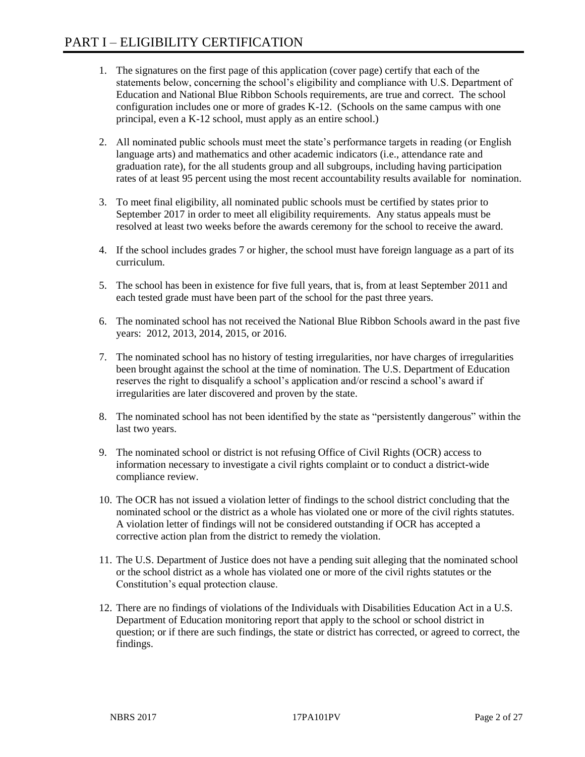- 1. The signatures on the first page of this application (cover page) certify that each of the statements below, concerning the school's eligibility and compliance with U.S. Department of Education and National Blue Ribbon Schools requirements, are true and correct. The school configuration includes one or more of grades K-12. (Schools on the same campus with one principal, even a K-12 school, must apply as an entire school.)
- 2. All nominated public schools must meet the state's performance targets in reading (or English language arts) and mathematics and other academic indicators (i.e., attendance rate and graduation rate), for the all students group and all subgroups, including having participation rates of at least 95 percent using the most recent accountability results available for nomination.
- 3. To meet final eligibility, all nominated public schools must be certified by states prior to September 2017 in order to meet all eligibility requirements. Any status appeals must be resolved at least two weeks before the awards ceremony for the school to receive the award.
- 4. If the school includes grades 7 or higher, the school must have foreign language as a part of its curriculum.
- 5. The school has been in existence for five full years, that is, from at least September 2011 and each tested grade must have been part of the school for the past three years.
- 6. The nominated school has not received the National Blue Ribbon Schools award in the past five years: 2012, 2013, 2014, 2015, or 2016.
- 7. The nominated school has no history of testing irregularities, nor have charges of irregularities been brought against the school at the time of nomination. The U.S. Department of Education reserves the right to disqualify a school's application and/or rescind a school's award if irregularities are later discovered and proven by the state.
- 8. The nominated school has not been identified by the state as "persistently dangerous" within the last two years.
- 9. The nominated school or district is not refusing Office of Civil Rights (OCR) access to information necessary to investigate a civil rights complaint or to conduct a district-wide compliance review.
- 10. The OCR has not issued a violation letter of findings to the school district concluding that the nominated school or the district as a whole has violated one or more of the civil rights statutes. A violation letter of findings will not be considered outstanding if OCR has accepted a corrective action plan from the district to remedy the violation.
- 11. The U.S. Department of Justice does not have a pending suit alleging that the nominated school or the school district as a whole has violated one or more of the civil rights statutes or the Constitution's equal protection clause.
- 12. There are no findings of violations of the Individuals with Disabilities Education Act in a U.S. Department of Education monitoring report that apply to the school or school district in question; or if there are such findings, the state or district has corrected, or agreed to correct, the findings.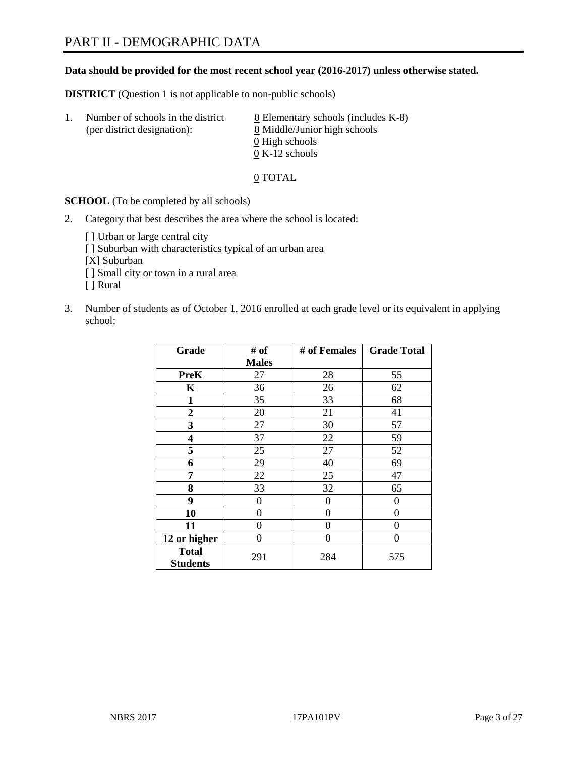# **Data should be provided for the most recent school year (2016-2017) unless otherwise stated.**

**DISTRICT** (Question 1 is not applicable to non-public schools)

| Ι. | Number of schools in the district<br>(per district designation): | $\underline{0}$ Elementary schools (includes K-8)<br>0 Middle/Junior high schools |
|----|------------------------------------------------------------------|-----------------------------------------------------------------------------------|
|    |                                                                  | 0 High schools                                                                    |
|    |                                                                  | $0 K-12$ schools                                                                  |

0 TOTAL

**SCHOOL** (To be completed by all schools)

2. Category that best describes the area where the school is located:

[] Urban or large central city [ ] Suburban with characteristics typical of an urban area [X] Suburban [ ] Small city or town in a rural area [ ] Rural

3. Number of students as of October 1, 2016 enrolled at each grade level or its equivalent in applying school:

| Grade                           | # of         | # of Females | <b>Grade Total</b> |
|---------------------------------|--------------|--------------|--------------------|
|                                 | <b>Males</b> |              |                    |
| <b>PreK</b>                     | 27           | 28           | 55                 |
| $\mathbf K$                     | 36           | 26           | 62                 |
| 1                               | 35           | 33           | 68                 |
| $\boldsymbol{2}$                | 20           | 21           | 41                 |
| 3                               | 27           | 30           | 57                 |
| $\overline{\mathbf{4}}$         | 37           | 22           | 59                 |
| 5                               | 25           | 27           | 52                 |
| 6                               | 29           | 40           | 69                 |
| 7                               | 22           | 25           | 47                 |
| 8                               | 33           | 32           | 65                 |
| 9                               | 0            | 0            | 0                  |
| 10                              | $\theta$     | 0            | 0                  |
| 11                              | 0            | 0            | $\Omega$           |
| 12 or higher                    | 0            | 0            | $\Omega$           |
| <b>Total</b><br><b>Students</b> | 291          | 284          | 575                |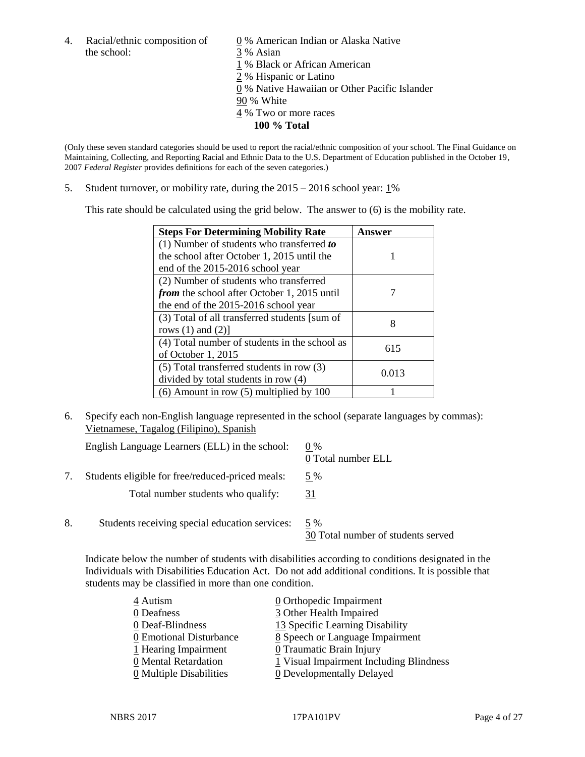4. Racial/ethnic composition of  $\qquad 0$  % American Indian or Alaska Native the school: 3 % Asian

 % Black or African American % Hispanic or Latino % Native Hawaiian or Other Pacific Islander 90 % White % Two or more races **100 % Total**

(Only these seven standard categories should be used to report the racial/ethnic composition of your school. The Final Guidance on Maintaining, Collecting, and Reporting Racial and Ethnic Data to the U.S. Department of Education published in the October 19, 2007 *Federal Register* provides definitions for each of the seven categories.)

5. Student turnover, or mobility rate, during the  $2015 - 2016$  school year:  $1\%$ 

This rate should be calculated using the grid below. The answer to (6) is the mobility rate.

| <b>Steps For Determining Mobility Rate</b>         | Answer |
|----------------------------------------------------|--------|
| $(1)$ Number of students who transferred to        |        |
| the school after October 1, 2015 until the         |        |
| end of the 2015-2016 school year                   |        |
| (2) Number of students who transferred             |        |
| <i>from</i> the school after October 1, 2015 until |        |
| the end of the 2015-2016 school year               |        |
| (3) Total of all transferred students [sum of      | 8      |
| rows $(1)$ and $(2)$ ]                             |        |
| (4) Total number of students in the school as      | 615    |
| of October 1, 2015                                 |        |
| $(5)$ Total transferred students in row $(3)$      | 0.013  |
| divided by total students in row (4)               |        |
| $(6)$ Amount in row $(5)$ multiplied by 100        |        |

6. Specify each non-English language represented in the school (separate languages by commas): Vietnamese, Tagalog (Filipino), Spanish

|    | English Language Learners (ELL) in the school:   | $0\%$<br>0 Total number ELL               |
|----|--------------------------------------------------|-------------------------------------------|
|    | Students eligible for free/reduced-priced meals: | 5 %                                       |
|    | Total number students who qualify:               | 31                                        |
| 8. | Students receiving special education services:   | 5 %<br>30 Total number of students served |

Indicate below the number of students with disabilities according to conditions designated in the Individuals with Disabilities Education Act. Do not add additional conditions. It is possible that students may be classified in more than one condition.

| 4 Autism                | 0 Orthopedic Impairment                 |
|-------------------------|-----------------------------------------|
| 0 Deafness              | 3 Other Health Impaired                 |
| 0 Deaf-Blindness        | 13 Specific Learning Disability         |
| 0 Emotional Disturbance | 8 Speech or Language Impairment         |
| 1 Hearing Impairment    | 0 Traumatic Brain Injury                |
| 0 Mental Retardation    | 1 Visual Impairment Including Blindness |
| 0 Multiple Disabilities | 0 Developmentally Delayed               |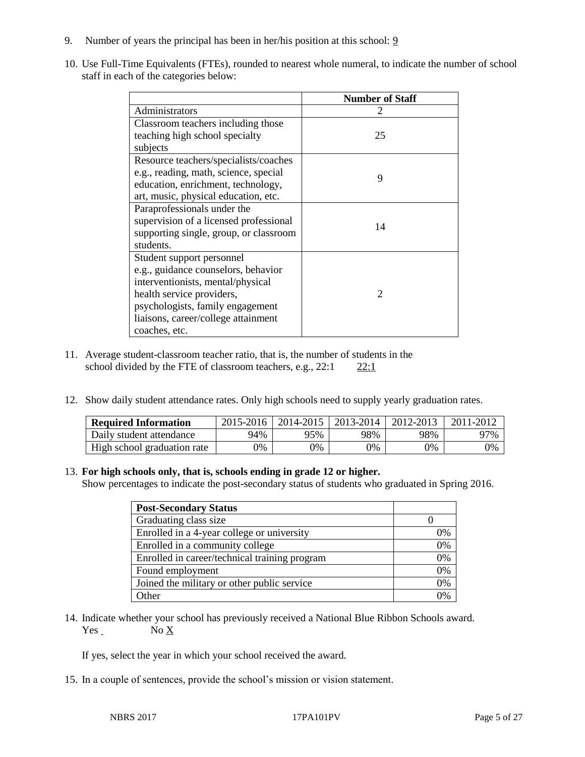- 9. Number of years the principal has been in her/his position at this school: 9
- 10. Use Full-Time Equivalents (FTEs), rounded to nearest whole numeral, to indicate the number of school staff in each of the categories below:

|                                        | <b>Number of Staff</b> |  |
|----------------------------------------|------------------------|--|
| Administrators                         |                        |  |
| Classroom teachers including those     |                        |  |
| teaching high school specialty         | 25                     |  |
| subjects                               |                        |  |
| Resource teachers/specialists/coaches  |                        |  |
| e.g., reading, math, science, special  | 9                      |  |
| education, enrichment, technology,     |                        |  |
| art, music, physical education, etc.   |                        |  |
| Paraprofessionals under the            |                        |  |
| supervision of a licensed professional | 14                     |  |
| supporting single, group, or classroom |                        |  |
| students.                              |                        |  |
| Student support personnel              |                        |  |
| e.g., guidance counselors, behavior    |                        |  |
| interventionists, mental/physical      |                        |  |
| health service providers,              | $\mathfrak{D}$         |  |
| psychologists, family engagement       |                        |  |
| liaisons, career/college attainment    |                        |  |
| coaches, etc.                          |                        |  |

- 11. Average student-classroom teacher ratio, that is, the number of students in the school divided by the FTE of classroom teachers, e.g.,  $22:1$   $22:1$
- 12. Show daily student attendance rates. Only high schools need to supply yearly graduation rates.

| <b>Required Information</b> | 2015-2016 | 2014-2015 | 2013-2014 | 2012-2013 | 2011-2012 |
|-----------------------------|-----------|-----------|-----------|-----------|-----------|
| Daily student attendance    | 94%       | 95%       | 98%       | 98%       | 97%       |
| High school graduation rate | 0%        | 0%        | 0%        | 9%        | 0%        |

### 13. **For high schools only, that is, schools ending in grade 12 or higher.**

Show percentages to indicate the post-secondary status of students who graduated in Spring 2016.

| <b>Post-Secondary Status</b>                  |    |
|-----------------------------------------------|----|
| Graduating class size                         |    |
| Enrolled in a 4-year college or university    | 0% |
| Enrolled in a community college               | 0% |
| Enrolled in career/technical training program | 0% |
| Found employment                              | 0% |
| Joined the military or other public service   | 0% |
| <b>Other</b>                                  | 7% |

14. Indicate whether your school has previously received a National Blue Ribbon Schools award. Yes No X

If yes, select the year in which your school received the award.

15. In a couple of sentences, provide the school's mission or vision statement.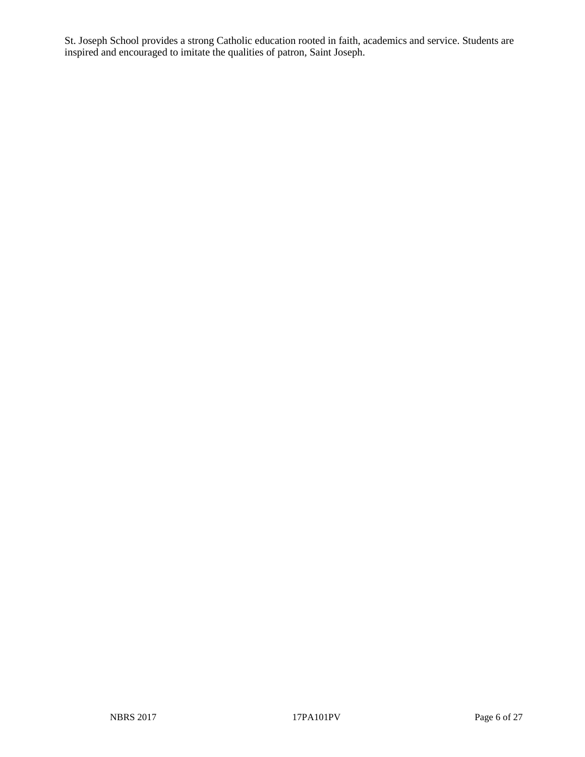St. Joseph School provides a strong Catholic education rooted in faith, academics and service. Students are inspired and encouraged to imitate the qualities of patron, Saint Joseph.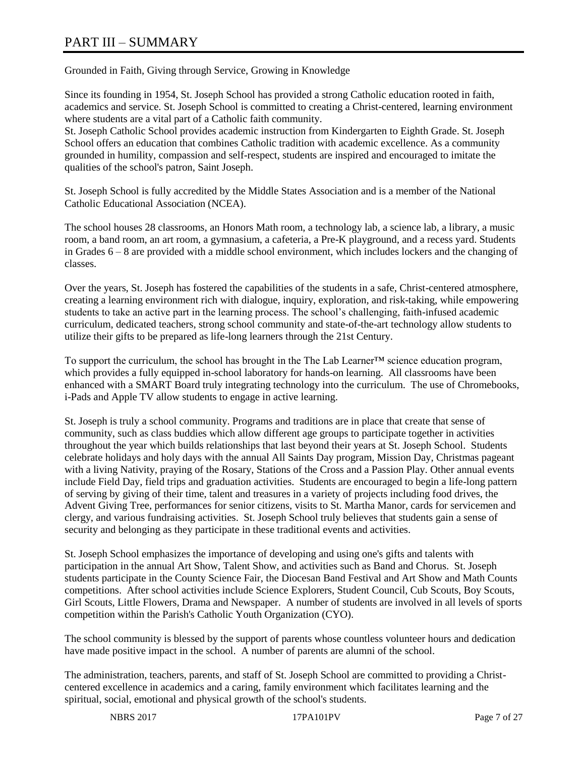# PART III – SUMMARY

Grounded in Faith, Giving through Service, Growing in Knowledge

Since its founding in 1954, St. Joseph School has provided a strong Catholic education rooted in faith, academics and service. St. Joseph School is committed to creating a Christ-centered, learning environment where students are a vital part of a Catholic faith community.

St. Joseph Catholic School provides academic instruction from Kindergarten to Eighth Grade. St. Joseph School offers an education that combines Catholic tradition with academic excellence. As a community grounded in humility, compassion and self-respect, students are inspired and encouraged to imitate the qualities of the school's patron, Saint Joseph.

St. Joseph School is fully accredited by the Middle States Association and is a member of the National Catholic Educational Association (NCEA).

The school houses 28 classrooms, an Honors Math room, a technology lab, a science lab, a library, a music room, a band room, an art room, a gymnasium, a cafeteria, a Pre-K playground, and a recess yard. Students in Grades 6 – 8 are provided with a middle school environment, which includes lockers and the changing of classes.

Over the years, St. Joseph has fostered the capabilities of the students in a safe, Christ-centered atmosphere, creating a learning environment rich with dialogue, inquiry, exploration, and risk-taking, while empowering students to take an active part in the learning process. The school's challenging, faith-infused academic curriculum, dedicated teachers, strong school community and state-of-the-art technology allow students to utilize their gifts to be prepared as life-long learners through the 21st Century.

To support the curriculum, the school has brought in the The Lab Learner™ science education program, which provides a fully equipped in-school laboratory for hands-on learning. All classrooms have been enhanced with a SMART Board truly integrating technology into the curriculum. The use of Chromebooks, i-Pads and Apple TV allow students to engage in active learning.

St. Joseph is truly a school community. Programs and traditions are in place that create that sense of community, such as class buddies which allow different age groups to participate together in activities throughout the year which builds relationships that last beyond their years at St. Joseph School. Students celebrate holidays and holy days with the annual All Saints Day program, Mission Day, Christmas pageant with a living Nativity, praying of the Rosary, Stations of the Cross and a Passion Play. Other annual events include Field Day, field trips and graduation activities. Students are encouraged to begin a life-long pattern of serving by giving of their time, talent and treasures in a variety of projects including food drives, the Advent Giving Tree, performances for senior citizens, visits to St. Martha Manor, cards for servicemen and clergy, and various fundraising activities. St. Joseph School truly believes that students gain a sense of security and belonging as they participate in these traditional events and activities.

St. Joseph School emphasizes the importance of developing and using one's gifts and talents with participation in the annual Art Show, Talent Show, and activities such as Band and Chorus. St. Joseph students participate in the County Science Fair, the Diocesan Band Festival and Art Show and Math Counts competitions. After school activities include Science Explorers, Student Council, Cub Scouts, Boy Scouts, Girl Scouts, Little Flowers, Drama and Newspaper. A number of students are involved in all levels of sports competition within the Parish's Catholic Youth Organization (CYO).

The school community is blessed by the support of parents whose countless volunteer hours and dedication have made positive impact in the school. A number of parents are alumni of the school.

The administration, teachers, parents, and staff of St. Joseph School are committed to providing a Christcentered excellence in academics and a caring, family environment which facilitates learning and the spiritual, social, emotional and physical growth of the school's students.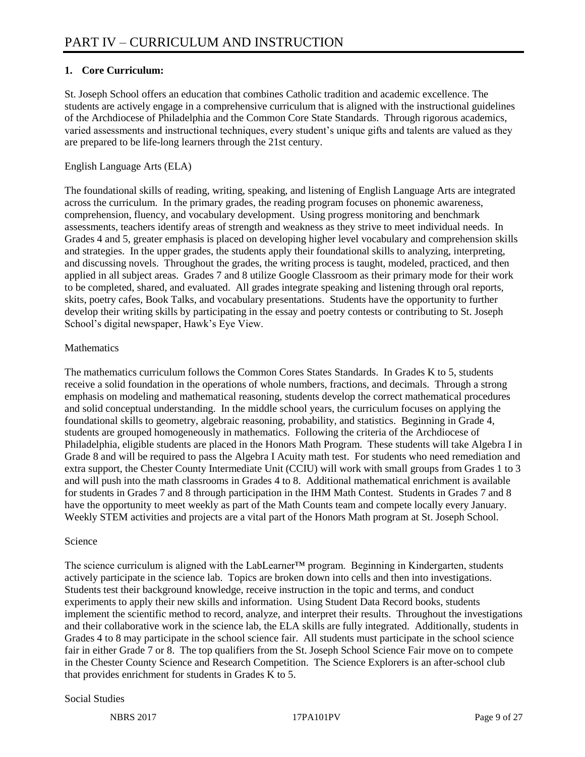# **1. Core Curriculum:**

St. Joseph School offers an education that combines Catholic tradition and academic excellence. The students are actively engage in a comprehensive curriculum that is aligned with the instructional guidelines of the Archdiocese of Philadelphia and the Common Core State Standards. Through rigorous academics, varied assessments and instructional techniques, every student's unique gifts and talents are valued as they are prepared to be life-long learners through the 21st century.

# English Language Arts (ELA)

The foundational skills of reading, writing, speaking, and listening of English Language Arts are integrated across the curriculum. In the primary grades, the reading program focuses on phonemic awareness, comprehension, fluency, and vocabulary development. Using progress monitoring and benchmark assessments, teachers identify areas of strength and weakness as they strive to meet individual needs. In Grades 4 and 5, greater emphasis is placed on developing higher level vocabulary and comprehension skills and strategies. In the upper grades, the students apply their foundational skills to analyzing, interpreting, and discussing novels. Throughout the grades, the writing process is taught, modeled, practiced, and then applied in all subject areas. Grades 7 and 8 utilize Google Classroom as their primary mode for their work to be completed, shared, and evaluated. All grades integrate speaking and listening through oral reports, skits, poetry cafes, Book Talks, and vocabulary presentations. Students have the opportunity to further develop their writing skills by participating in the essay and poetry contests or contributing to St. Joseph School's digital newspaper, Hawk's Eye View.

# **Mathematics**

The mathematics curriculum follows the Common Cores States Standards. In Grades K to 5, students receive a solid foundation in the operations of whole numbers, fractions, and decimals. Through a strong emphasis on modeling and mathematical reasoning, students develop the correct mathematical procedures and solid conceptual understanding. In the middle school years, the curriculum focuses on applying the foundational skills to geometry, algebraic reasoning, probability, and statistics. Beginning in Grade 4, students are grouped homogeneously in mathematics. Following the criteria of the Archdiocese of Philadelphia, eligible students are placed in the Honors Math Program. These students will take Algebra I in Grade 8 and will be required to pass the Algebra I Acuity math test. For students who need remediation and extra support, the Chester County Intermediate Unit (CCIU) will work with small groups from Grades 1 to 3 and will push into the math classrooms in Grades 4 to 8. Additional mathematical enrichment is available for students in Grades 7 and 8 through participation in the IHM Math Contest. Students in Grades 7 and 8 have the opportunity to meet weekly as part of the Math Counts team and compete locally every January. Weekly STEM activities and projects are a vital part of the Honors Math program at St. Joseph School.

# Science

The science curriculum is aligned with the LabLearner™ program. Beginning in Kindergarten, students actively participate in the science lab. Topics are broken down into cells and then into investigations. Students test their background knowledge, receive instruction in the topic and terms, and conduct experiments to apply their new skills and information. Using Student Data Record books, students implement the scientific method to record, analyze, and interpret their results. Throughout the investigations and their collaborative work in the science lab, the ELA skills are fully integrated. Additionally, students in Grades 4 to 8 may participate in the school science fair. All students must participate in the school science fair in either Grade 7 or 8. The top qualifiers from the St. Joseph School Science Fair move on to compete in the Chester County Science and Research Competition. The Science Explorers is an after-school club that provides enrichment for students in Grades  $\overline{K}$  to 5.

### Social Studies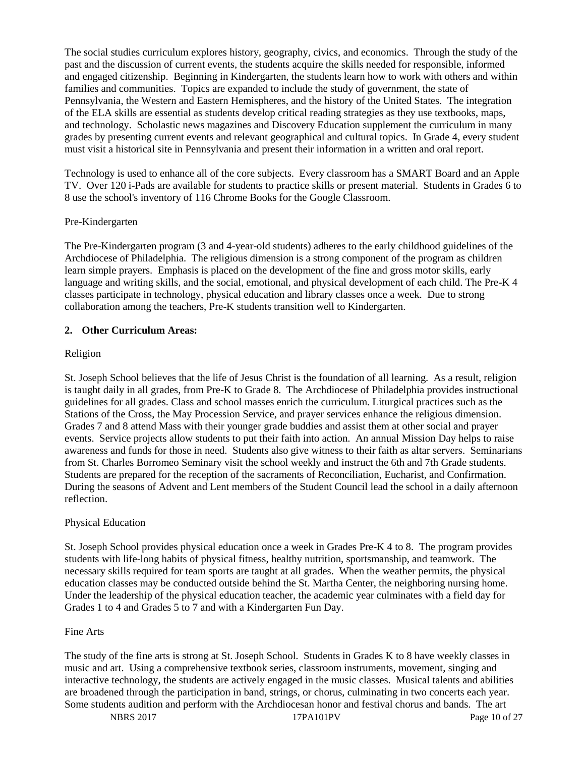The social studies curriculum explores history, geography, civics, and economics. Through the study of the past and the discussion of current events, the students acquire the skills needed for responsible, informed and engaged citizenship. Beginning in Kindergarten, the students learn how to work with others and within families and communities. Topics are expanded to include the study of government, the state of Pennsylvania, the Western and Eastern Hemispheres, and the history of the United States. The integration of the ELA skills are essential as students develop critical reading strategies as they use textbooks, maps, and technology. Scholastic news magazines and Discovery Education supplement the curriculum in many grades by presenting current events and relevant geographical and cultural topics. In Grade 4, every student must visit a historical site in Pennsylvania and present their information in a written and oral report.

Technology is used to enhance all of the core subjects. Every classroom has a SMART Board and an Apple TV. Over 120 i-Pads are available for students to practice skills or present material. Students in Grades 6 to 8 use the school's inventory of 116 Chrome Books for the Google Classroom.

### Pre-Kindergarten

The Pre-Kindergarten program (3 and 4-year-old students) adheres to the early childhood guidelines of the Archdiocese of Philadelphia. The religious dimension is a strong component of the program as children learn simple prayers. Emphasis is placed on the development of the fine and gross motor skills, early language and writing skills, and the social, emotional, and physical development of each child. The Pre-K 4 classes participate in technology, physical education and library classes once a week. Due to strong collaboration among the teachers, Pre-K students transition well to Kindergarten.

# **2. Other Curriculum Areas:**

# Religion

St. Joseph School believes that the life of Jesus Christ is the foundation of all learning. As a result, religion is taught daily in all grades, from Pre-K to Grade 8. The Archdiocese of Philadelphia provides instructional guidelines for all grades. Class and school masses enrich the curriculum. Liturgical practices such as the Stations of the Cross, the May Procession Service, and prayer services enhance the religious dimension. Grades 7 and 8 attend Mass with their younger grade buddies and assist them at other social and prayer events. Service projects allow students to put their faith into action. An annual Mission Day helps to raise awareness and funds for those in need. Students also give witness to their faith as altar servers. Seminarians from St. Charles Borromeo Seminary visit the school weekly and instruct the 6th and 7th Grade students. Students are prepared for the reception of the sacraments of Reconciliation, Eucharist, and Confirmation. During the seasons of Advent and Lent members of the Student Council lead the school in a daily afternoon reflection.

### Physical Education

St. Joseph School provides physical education once a week in Grades Pre-K 4 to 8. The program provides students with life-long habits of physical fitness, healthy nutrition, sportsmanship, and teamwork. The necessary skills required for team sports are taught at all grades. When the weather permits, the physical education classes may be conducted outside behind the St. Martha Center, the neighboring nursing home. Under the leadership of the physical education teacher, the academic year culminates with a field day for Grades 1 to 4 and Grades 5 to 7 and with a Kindergarten Fun Day.

### Fine Arts

The study of the fine arts is strong at St. Joseph School. Students in Grades K to 8 have weekly classes in music and art. Using a comprehensive textbook series, classroom instruments, movement, singing and interactive technology, the students are actively engaged in the music classes. Musical talents and abilities are broadened through the participation in band, strings, or chorus, culminating in two concerts each year. Some students audition and perform with the Archdiocesan honor and festival chorus and bands. The art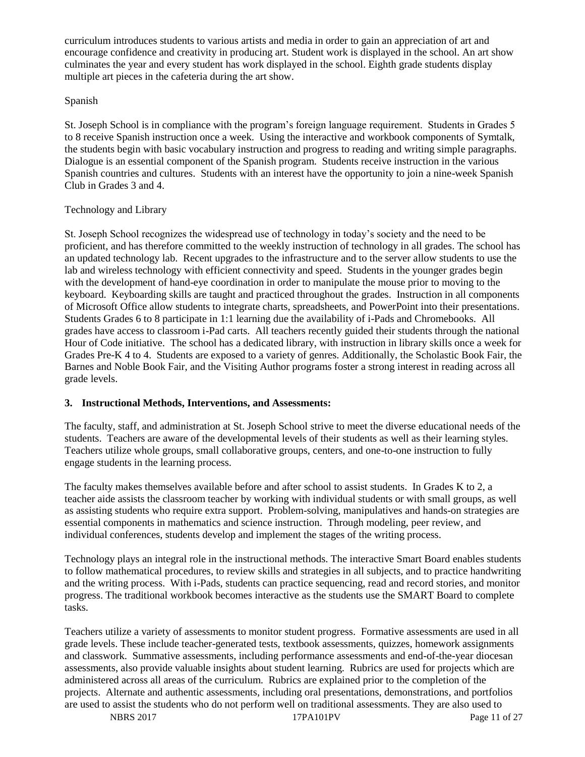curriculum introduces students to various artists and media in order to gain an appreciation of art and encourage confidence and creativity in producing art. Student work is displayed in the school. An art show culminates the year and every student has work displayed in the school. Eighth grade students display multiple art pieces in the cafeteria during the art show.

# Spanish

St. Joseph School is in compliance with the program's foreign language requirement. Students in Grades 5 to 8 receive Spanish instruction once a week. Using the interactive and workbook components of Symtalk, the students begin with basic vocabulary instruction and progress to reading and writing simple paragraphs. Dialogue is an essential component of the Spanish program. Students receive instruction in the various Spanish countries and cultures. Students with an interest have the opportunity to join a nine-week Spanish Club in Grades 3 and 4.

### Technology and Library

St. Joseph School recognizes the widespread use of technology in today's society and the need to be proficient, and has therefore committed to the weekly instruction of technology in all grades. The school has an updated technology lab. Recent upgrades to the infrastructure and to the server allow students to use the lab and wireless technology with efficient connectivity and speed. Students in the younger grades begin with the development of hand-eye coordination in order to manipulate the mouse prior to moving to the keyboard. Keyboarding skills are taught and practiced throughout the grades. Instruction in all components of Microsoft Office allow students to integrate charts, spreadsheets, and PowerPoint into their presentations. Students Grades 6 to 8 participate in 1:1 learning due the availability of i-Pads and Chromebooks. All grades have access to classroom i-Pad carts. All teachers recently guided their students through the national Hour of Code initiative. The school has a dedicated library, with instruction in library skills once a week for Grades Pre-K 4 to 4. Students are exposed to a variety of genres. Additionally, the Scholastic Book Fair, the Barnes and Noble Book Fair, and the Visiting Author programs foster a strong interest in reading across all grade levels.

# **3. Instructional Methods, Interventions, and Assessments:**

The faculty, staff, and administration at St. Joseph School strive to meet the diverse educational needs of the students. Teachers are aware of the developmental levels of their students as well as their learning styles. Teachers utilize whole groups, small collaborative groups, centers, and one-to-one instruction to fully engage students in the learning process.

The faculty makes themselves available before and after school to assist students. In Grades K to 2, a teacher aide assists the classroom teacher by working with individual students or with small groups, as well as assisting students who require extra support. Problem-solving, manipulatives and hands-on strategies are essential components in mathematics and science instruction. Through modeling, peer review, and individual conferences, students develop and implement the stages of the writing process.

Technology plays an integral role in the instructional methods. The interactive Smart Board enables students to follow mathematical procedures, to review skills and strategies in all subjects, and to practice handwriting and the writing process. With i-Pads, students can practice sequencing, read and record stories, and monitor progress. The traditional workbook becomes interactive as the students use the SMART Board to complete tasks.

Teachers utilize a variety of assessments to monitor student progress. Formative assessments are used in all grade levels. These include teacher-generated tests, textbook assessments, quizzes, homework assignments and classwork. Summative assessments, including performance assessments and end-of-the-year diocesan assessments, also provide valuable insights about student learning. Rubrics are used for projects which are administered across all areas of the curriculum. Rubrics are explained prior to the completion of the projects. Alternate and authentic assessments, including oral presentations, demonstrations, and portfolios are used to assist the students who do not perform well on traditional assessments. They are also used to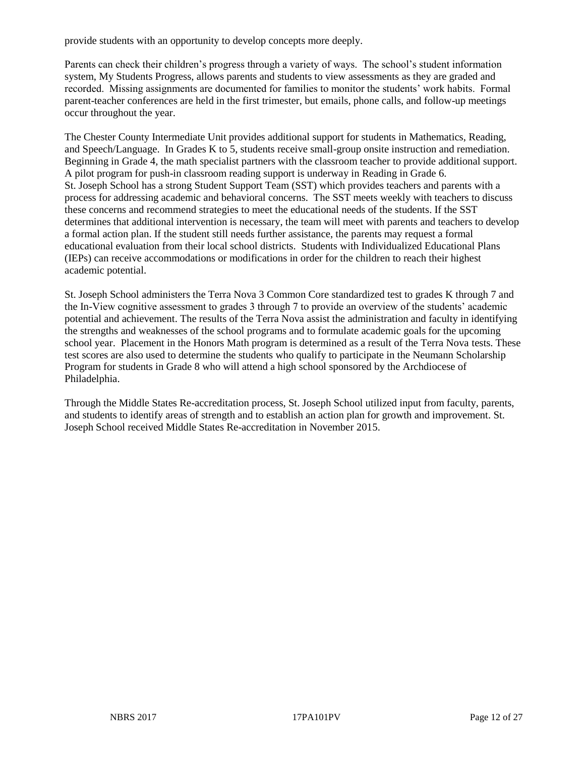provide students with an opportunity to develop concepts more deeply.

Parents can check their children's progress through a variety of ways. The school's student information system, My Students Progress, allows parents and students to view assessments as they are graded and recorded. Missing assignments are documented for families to monitor the students' work habits. Formal parent-teacher conferences are held in the first trimester, but emails, phone calls, and follow-up meetings occur throughout the year.

The Chester County Intermediate Unit provides additional support for students in Mathematics, Reading, and Speech/Language. In Grades K to 5, students receive small-group onsite instruction and remediation. Beginning in Grade 4, the math specialist partners with the classroom teacher to provide additional support. A pilot program for push-in classroom reading support is underway in Reading in Grade 6. St. Joseph School has a strong Student Support Team (SST) which provides teachers and parents with a process for addressing academic and behavioral concerns. The SST meets weekly with teachers to discuss these concerns and recommend strategies to meet the educational needs of the students. If the SST determines that additional intervention is necessary, the team will meet with parents and teachers to develop a formal action plan. If the student still needs further assistance, the parents may request a formal educational evaluation from their local school districts. Students with Individualized Educational Plans (IEPs) can receive accommodations or modifications in order for the children to reach their highest academic potential.

St. Joseph School administers the Terra Nova 3 Common Core standardized test to grades K through 7 and the In-View cognitive assessment to grades 3 through 7 to provide an overview of the students' academic potential and achievement. The results of the Terra Nova assist the administration and faculty in identifying the strengths and weaknesses of the school programs and to formulate academic goals for the upcoming school year. Placement in the Honors Math program is determined as a result of the Terra Nova tests. These test scores are also used to determine the students who qualify to participate in the Neumann Scholarship Program for students in Grade 8 who will attend a high school sponsored by the Archdiocese of Philadelphia.

Through the Middle States Re-accreditation process, St. Joseph School utilized input from faculty, parents, and students to identify areas of strength and to establish an action plan for growth and improvement. St. Joseph School received Middle States Re-accreditation in November 2015.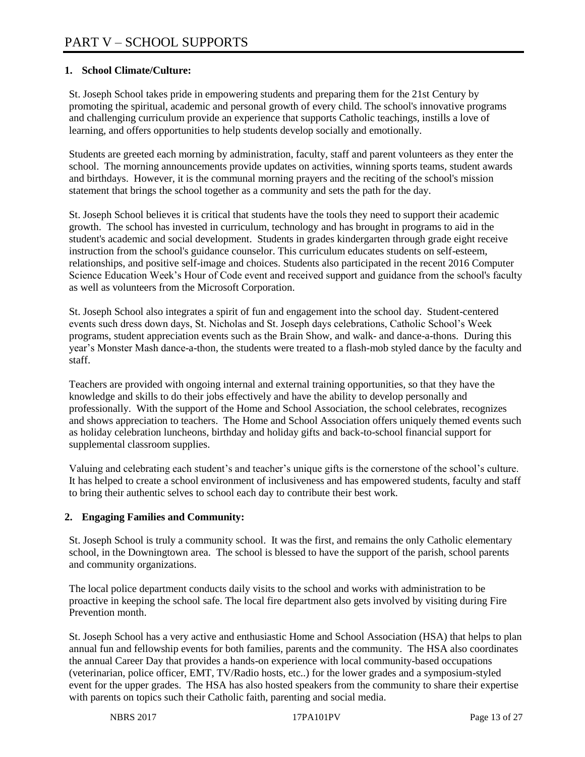# **1. School Climate/Culture:**

St. Joseph School takes pride in empowering students and preparing them for the 21st Century by promoting the spiritual, academic and personal growth of every child. The school's innovative programs and challenging curriculum provide an experience that supports Catholic teachings, instills a love of learning, and offers opportunities to help students develop socially and emotionally.

Students are greeted each morning by administration, faculty, staff and parent volunteers as they enter the school. The morning announcements provide updates on activities, winning sports teams, student awards and birthdays. However, it is the communal morning prayers and the reciting of the school's mission statement that brings the school together as a community and sets the path for the day.

St. Joseph School believes it is critical that students have the tools they need to support their academic growth. The school has invested in curriculum, technology and has brought in programs to aid in the student's academic and social development. Students in grades kindergarten through grade eight receive instruction from the school's guidance counselor. This curriculum educates students on self-esteem, relationships, and positive self-image and choices. Students also participated in the recent 2016 Computer Science Education Week's Hour of Code event and received support and guidance from the school's faculty as well as volunteers from the Microsoft Corporation.

St. Joseph School also integrates a spirit of fun and engagement into the school day. Student-centered events such dress down days, St. Nicholas and St. Joseph days celebrations, Catholic School's Week programs, student appreciation events such as the Brain Show, and walk- and dance-a-thons. During this year's Monster Mash dance-a-thon, the students were treated to a flash-mob styled dance by the faculty and staff.

Teachers are provided with ongoing internal and external training opportunities, so that they have the knowledge and skills to do their jobs effectively and have the ability to develop personally and professionally. With the support of the Home and School Association, the school celebrates, recognizes and shows appreciation to teachers. The Home and School Association offers uniquely themed events such as holiday celebration luncheons, birthday and holiday gifts and back-to-school financial support for supplemental classroom supplies.

Valuing and celebrating each student's and teacher's unique gifts is the cornerstone of the school's culture. It has helped to create a school environment of inclusiveness and has empowered students, faculty and staff to bring their authentic selves to school each day to contribute their best work.

# **2. Engaging Families and Community:**

St. Joseph School is truly a community school. It was the first, and remains the only Catholic elementary school, in the Downingtown area. The school is blessed to have the support of the parish, school parents and community organizations.

The local police department conducts daily visits to the school and works with administration to be proactive in keeping the school safe. The local fire department also gets involved by visiting during Fire Prevention month.

St. Joseph School has a very active and enthusiastic Home and School Association (HSA) that helps to plan annual fun and fellowship events for both families, parents and the community. The HSA also coordinates the annual Career Day that provides a hands-on experience with local community-based occupations (veterinarian, police officer, EMT, TV/Radio hosts, etc..) for the lower grades and a symposium-styled event for the upper grades. The HSA has also hosted speakers from the community to share their expertise with parents on topics such their Catholic faith, parenting and social media.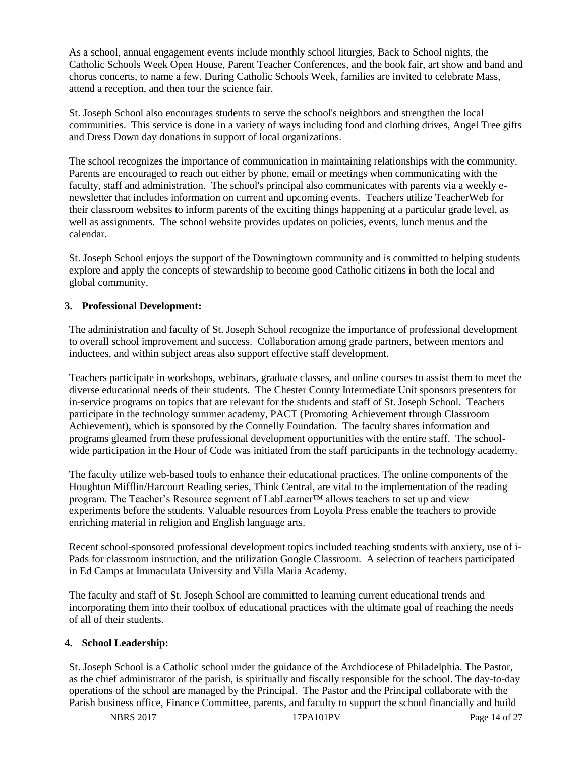As a school, annual engagement events include monthly school liturgies, Back to School nights, the Catholic Schools Week Open House, Parent Teacher Conferences, and the book fair, art show and band and chorus concerts, to name a few. During Catholic Schools Week, families are invited to celebrate Mass, attend a reception, and then tour the science fair.

St. Joseph School also encourages students to serve the school's neighbors and strengthen the local communities. This service is done in a variety of ways including food and clothing drives, Angel Tree gifts and Dress Down day donations in support of local organizations.

The school recognizes the importance of communication in maintaining relationships with the community. Parents are encouraged to reach out either by phone, email or meetings when communicating with the faculty, staff and administration. The school's principal also communicates with parents via a weekly enewsletter that includes information on current and upcoming events. Teachers utilize TeacherWeb for their classroom websites to inform parents of the exciting things happening at a particular grade level, as well as assignments. The school website provides updates on policies, events, lunch menus and the calendar.

St. Joseph School enjoys the support of the Downingtown community and is committed to helping students explore and apply the concepts of stewardship to become good Catholic citizens in both the local and global community.

# **3. Professional Development:**

The administration and faculty of St. Joseph School recognize the importance of professional development to overall school improvement and success. Collaboration among grade partners, between mentors and inductees, and within subject areas also support effective staff development.

Teachers participate in workshops, webinars, graduate classes, and online courses to assist them to meet the diverse educational needs of their students. The Chester County Intermediate Unit sponsors presenters for in-service programs on topics that are relevant for the students and staff of St. Joseph School. Teachers participate in the technology summer academy, PACT (Promoting Achievement through Classroom Achievement), which is sponsored by the Connelly Foundation. The faculty shares information and programs gleamed from these professional development opportunities with the entire staff. The schoolwide participation in the Hour of Code was initiated from the staff participants in the technology academy.

The faculty utilize web-based tools to enhance their educational practices. The online components of the Houghton Mifflin/Harcourt Reading series, Think Central, are vital to the implementation of the reading program. The Teacher's Resource segment of LabLearner™ allows teachers to set up and view experiments before the students. Valuable resources from Loyola Press enable the teachers to provide enriching material in religion and English language arts.

Recent school-sponsored professional development topics included teaching students with anxiety, use of i-Pads for classroom instruction, and the utilization Google Classroom. A selection of teachers participated in Ed Camps at Immaculata University and Villa Maria Academy.

The faculty and staff of St. Joseph School are committed to learning current educational trends and incorporating them into their toolbox of educational practices with the ultimate goal of reaching the needs of all of their students.

### **4. School Leadership:**

St. Joseph School is a Catholic school under the guidance of the Archdiocese of Philadelphia. The Pastor, as the chief administrator of the parish, is spiritually and fiscally responsible for the school. The day-to-day operations of the school are managed by the Principal. The Pastor and the Principal collaborate with the Parish business office, Finance Committee, parents, and faculty to support the school financially and build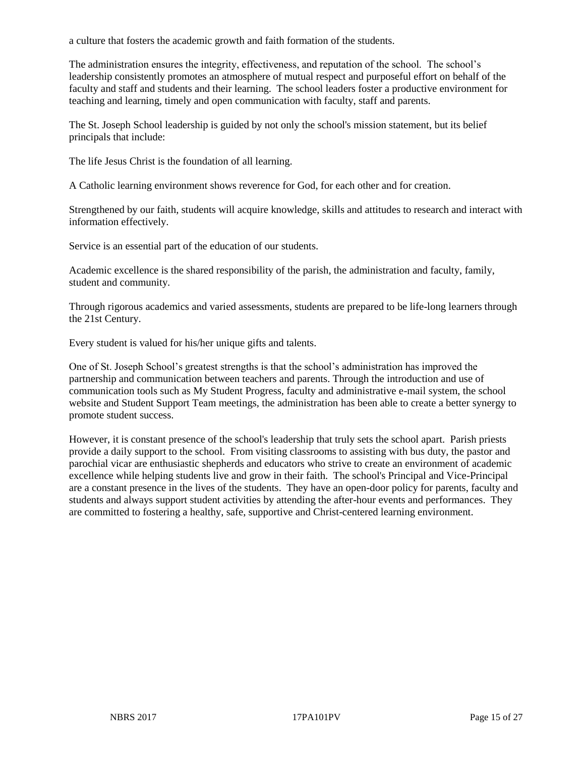a culture that fosters the academic growth and faith formation of the students.

The administration ensures the integrity, effectiveness, and reputation of the school. The school's leadership consistently promotes an atmosphere of mutual respect and purposeful effort on behalf of the faculty and staff and students and their learning. The school leaders foster a productive environment for teaching and learning, timely and open communication with faculty, staff and parents.

The St. Joseph School leadership is guided by not only the school's mission statement, but its belief principals that include:

The life Jesus Christ is the foundation of all learning.

A Catholic learning environment shows reverence for God, for each other and for creation.

Strengthened by our faith, students will acquire knowledge, skills and attitudes to research and interact with information effectively.

Service is an essential part of the education of our students.

Academic excellence is the shared responsibility of the parish, the administration and faculty, family, student and community.

Through rigorous academics and varied assessments, students are prepared to be life-long learners through the 21st Century.

Every student is valued for his/her unique gifts and talents.

One of St. Joseph School's greatest strengths is that the school's administration has improved the partnership and communication between teachers and parents. Through the introduction and use of communication tools such as My Student Progress, faculty and administrative e-mail system, the school website and Student Support Team meetings, the administration has been able to create a better synergy to promote student success.

However, it is constant presence of the school's leadership that truly sets the school apart. Parish priests provide a daily support to the school. From visiting classrooms to assisting with bus duty, the pastor and parochial vicar are enthusiastic shepherds and educators who strive to create an environment of academic excellence while helping students live and grow in their faith. The school's Principal and Vice-Principal are a constant presence in the lives of the students. They have an open-door policy for parents, faculty and students and always support student activities by attending the after-hour events and performances. They are committed to fostering a healthy, safe, supportive and Christ-centered learning environment.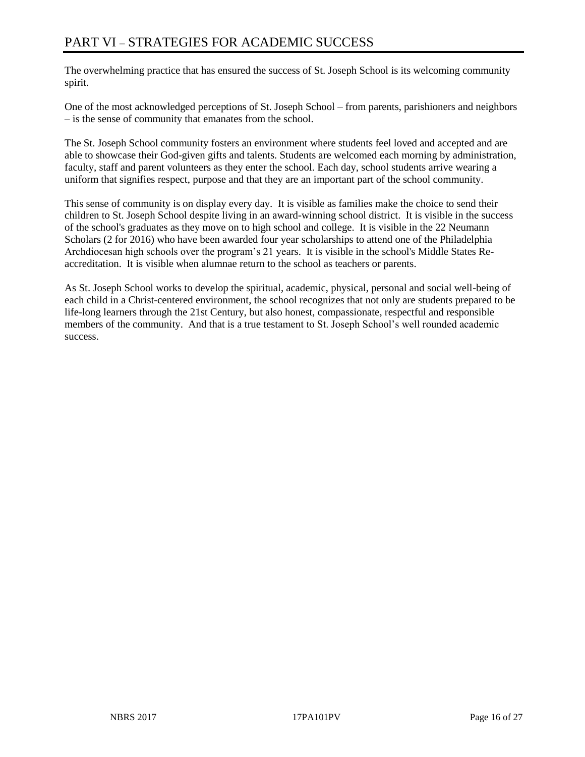The overwhelming practice that has ensured the success of St. Joseph School is its welcoming community spirit.

One of the most acknowledged perceptions of St. Joseph School – from parents, parishioners and neighbors – is the sense of community that emanates from the school.

The St. Joseph School community fosters an environment where students feel loved and accepted and are able to showcase their God-given gifts and talents. Students are welcomed each morning by administration, faculty, staff and parent volunteers as they enter the school. Each day, school students arrive wearing a uniform that signifies respect, purpose and that they are an important part of the school community.

This sense of community is on display every day. It is visible as families make the choice to send their children to St. Joseph School despite living in an award-winning school district. It is visible in the success of the school's graduates as they move on to high school and college. It is visible in the 22 Neumann Scholars (2 for 2016) who have been awarded four year scholarships to attend one of the Philadelphia Archdiocesan high schools over the program's 21 years. It is visible in the school's Middle States Reaccreditation. It is visible when alumnae return to the school as teachers or parents.

As St. Joseph School works to develop the spiritual, academic, physical, personal and social well-being of each child in a Christ-centered environment, the school recognizes that not only are students prepared to be life-long learners through the 21st Century, but also honest, compassionate, respectful and responsible members of the community. And that is a true testament to St. Joseph School's well rounded academic success.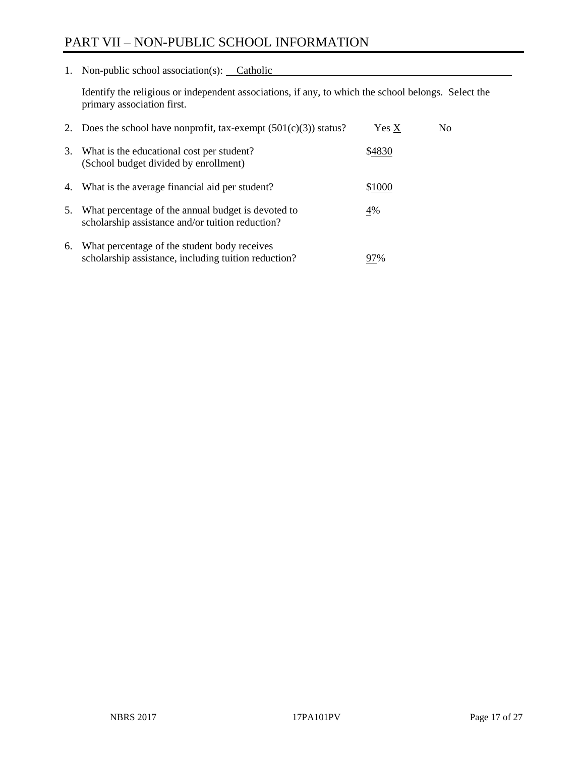# PART VII – NON-PUBLIC SCHOOL INFORMATION

1. Non-public school association(s): Catholic

Identify the religious or independent associations, if any, to which the school belongs. Select the primary association first.

| 2. | Does the school have nonprofit, tax-exempt $(501(c)(3))$ status?                                       | Yes X  | No. |
|----|--------------------------------------------------------------------------------------------------------|--------|-----|
| 3. | What is the educational cost per student?<br>(School budget divided by enrollment)                     | \$4830 |     |
|    | 4. What is the average financial aid per student?                                                      | \$1000 |     |
| 5. | What percentage of the annual budget is devoted to<br>scholarship assistance and/or tuition reduction? | 4%     |     |
| 6. | What percentage of the student body receives<br>scholarship assistance, including tuition reduction?   | 97%    |     |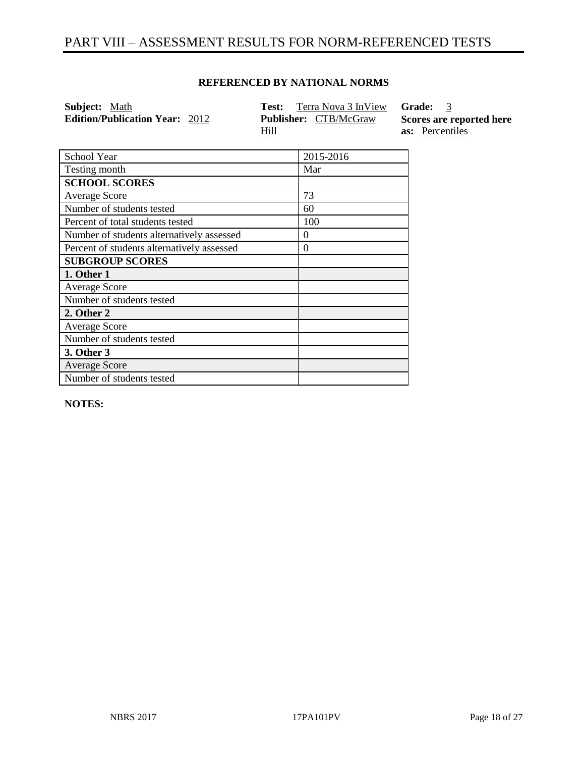# PART VIII – ASSESSMENT RESULTS FOR NORM-REFERENCED TESTS

# **REFERENCED BY NATIONAL NORMS**

| <b>Subject:</b> Math                  | Terra Nova 3 InView <b>Grade:</b> 3<br>Test: |                          |
|---------------------------------------|----------------------------------------------|--------------------------|
| <b>Edition/Publication Year: 2012</b> | <b>Publisher:</b> CTB/McGraw                 | Scores are reported here |
|                                       | <u>Hill</u>                                  | <b>as:</b> Percentiles   |

| School Year                                | 2015-2016 |
|--------------------------------------------|-----------|
| Testing month                              | Mar       |
| <b>SCHOOL SCORES</b>                       |           |
| <b>Average Score</b>                       | 73        |
| Number of students tested                  | 60        |
| Percent of total students tested           | 100       |
| Number of students alternatively assessed  | 0         |
| Percent of students alternatively assessed | $\theta$  |
| <b>SUBGROUP SCORES</b>                     |           |
| 1. Other 1                                 |           |
| <b>Average Score</b>                       |           |
| Number of students tested                  |           |
| 2. Other 2                                 |           |
| <b>Average Score</b>                       |           |
| Number of students tested                  |           |
| 3. Other 3                                 |           |
| <b>Average Score</b>                       |           |
| Number of students tested                  |           |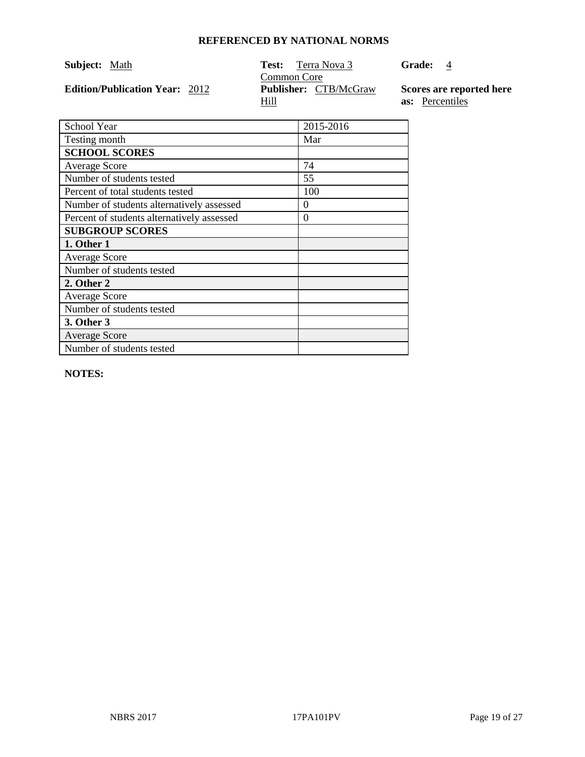| <b>Subject:</b> Math                  | <b>Test:</b> Terra Nova 3<br>Common Core    | <b>Grade:</b> 4                                    |
|---------------------------------------|---------------------------------------------|----------------------------------------------------|
| <b>Edition/Publication Year: 2012</b> | <b>Publisher:</b> CTB/McGraw<br><u>Hill</u> | Scores are reported here<br><b>as:</b> Percentiles |

| School Year                                | 2015-2016 |
|--------------------------------------------|-----------|
| Testing month                              | Mar       |
| <b>SCHOOL SCORES</b>                       |           |
| <b>Average Score</b>                       | 74        |
| Number of students tested                  | 55        |
| Percent of total students tested           | 100       |
| Number of students alternatively assessed  | $\Omega$  |
| Percent of students alternatively assessed | $\theta$  |
| <b>SUBGROUP SCORES</b>                     |           |
| 1. Other 1                                 |           |
| <b>Average Score</b>                       |           |
| Number of students tested                  |           |
| 2. Other 2                                 |           |
| <b>Average Score</b>                       |           |
| Number of students tested                  |           |
| 3. Other 3                                 |           |
| <b>Average Score</b>                       |           |
| Number of students tested                  |           |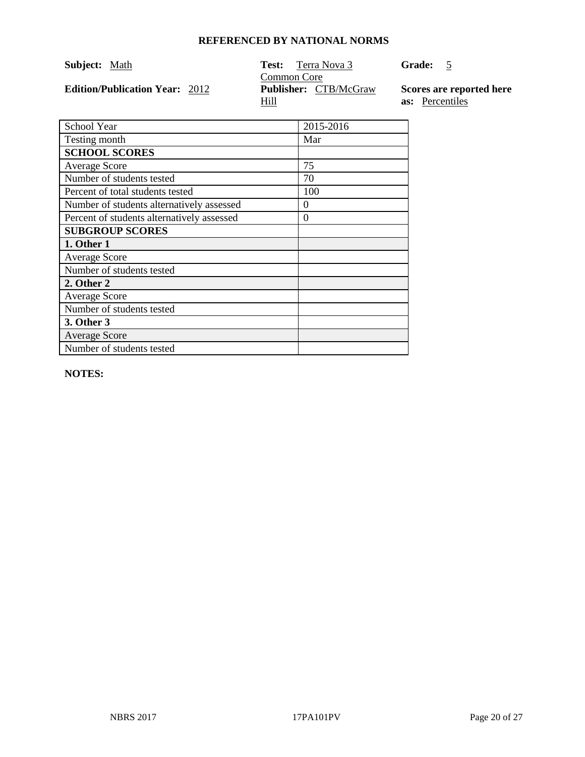| <b>Subject:</b> Math                  | Test:<br>Terra Nova 3<br>Common Core        | <b>Grade:</b><br>$\overline{\phantom{0}}$          |
|---------------------------------------|---------------------------------------------|----------------------------------------------------|
| <b>Edition/Publication Year: 2012</b> | <b>Publisher:</b> CTB/McGraw<br><u>Hill</u> | Scores are reported here<br><b>as:</b> Percentiles |

| School Year                                | 2015-2016 |
|--------------------------------------------|-----------|
| Testing month                              | Mar       |
| <b>SCHOOL SCORES</b>                       |           |
| <b>Average Score</b>                       | 75        |
| Number of students tested                  | 70        |
| Percent of total students tested           | 100       |
| Number of students alternatively assessed  | 0         |
| Percent of students alternatively assessed | $\Omega$  |
| <b>SUBGROUP SCORES</b>                     |           |
| 1. Other 1                                 |           |
| <b>Average Score</b>                       |           |
| Number of students tested                  |           |
| 2. Other 2                                 |           |
| <b>Average Score</b>                       |           |
| Number of students tested                  |           |
| 3. Other 3                                 |           |
| <b>Average Score</b>                       |           |
| Number of students tested                  |           |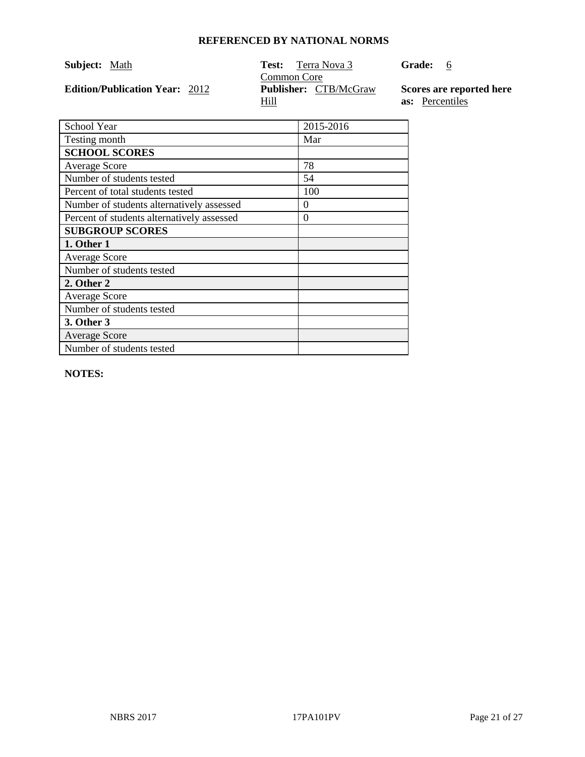| <b>Subject:</b> Math                  | <b>Test:</b> Terra Nova 3<br>Common Core    | Grade: 6                                           |
|---------------------------------------|---------------------------------------------|----------------------------------------------------|
| <b>Edition/Publication Year: 2012</b> | <b>Publisher:</b> CTB/McGraw<br><u>Hill</u> | Scores are reported here<br><b>as:</b> Percentiles |

| School Year                                | 2015-2016 |
|--------------------------------------------|-----------|
|                                            |           |
| Testing month                              | Mar       |
| <b>SCHOOL SCORES</b>                       |           |
| <b>Average Score</b>                       | 78        |
| Number of students tested                  | 54        |
| Percent of total students tested           | 100       |
| Number of students alternatively assessed  | $\theta$  |
| Percent of students alternatively assessed | $\theta$  |
| <b>SUBGROUP SCORES</b>                     |           |
| 1. Other 1                                 |           |
| <b>Average Score</b>                       |           |
| Number of students tested                  |           |
| 2. Other 2                                 |           |
| <b>Average Score</b>                       |           |
| Number of students tested                  |           |
| 3. Other 3                                 |           |
| <b>Average Score</b>                       |           |
| Number of students tested                  |           |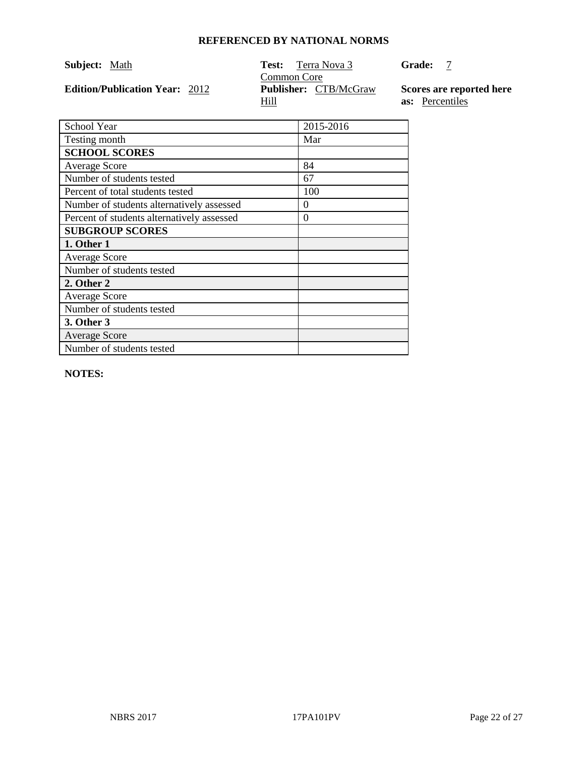| <b>Subject:</b> Math                  | <b>Test:</b> Terra Nova 3                                  | <b>Grade:</b>                                      |
|---------------------------------------|------------------------------------------------------------|----------------------------------------------------|
| <b>Edition/Publication Year: 2012</b> | Common Core<br><b>Publisher:</b> CTB/McGraw<br><u>Hill</u> | Scores are reported here<br><b>as:</b> Percentiles |

| School Year                                | 2015-2016 |
|--------------------------------------------|-----------|
| Testing month                              | Mar       |
| <b>SCHOOL SCORES</b>                       |           |
| <b>Average Score</b>                       | 84        |
| Number of students tested                  | 67        |
| Percent of total students tested           | 100       |
| Number of students alternatively assessed  | $\theta$  |
| Percent of students alternatively assessed | $\theta$  |
| <b>SUBGROUP SCORES</b>                     |           |
| 1. Other 1                                 |           |
| <b>Average Score</b>                       |           |
| Number of students tested                  |           |
| 2. Other 2                                 |           |
| <b>Average Score</b>                       |           |
| Number of students tested                  |           |
| 3. Other 3                                 |           |
| <b>Average Score</b>                       |           |
| Number of students tested                  |           |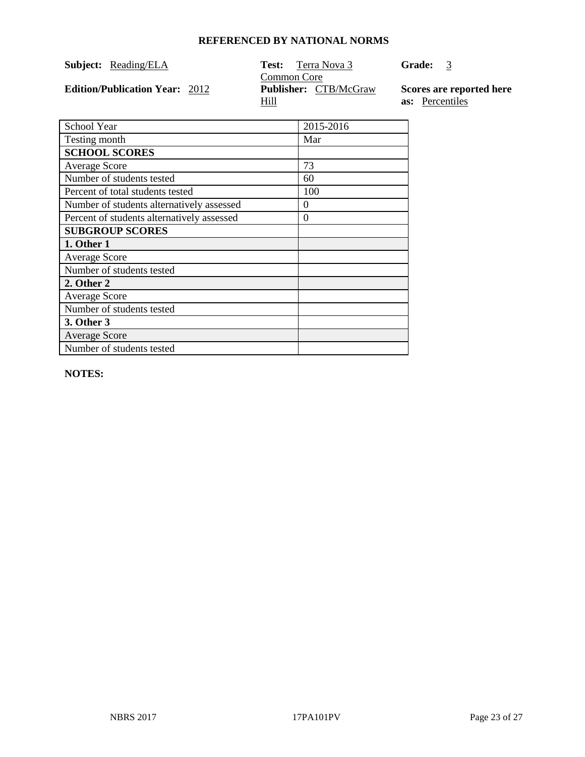|  | Subject: | Reading/ELA |
|--|----------|-------------|
|--|----------|-------------|

**Edition/Publication Year: 2012** 

**Test:** Terra Nova 3 Common Core<br> **Publisher:** CTB/McGraw Hill

**Grade:** 3

**Scores are reported here as:** Percentiles

| School Year                                | 2015-2016 |
|--------------------------------------------|-----------|
| Testing month                              | Mar       |
| <b>SCHOOL SCORES</b>                       |           |
| <b>Average Score</b>                       | 73        |
| Number of students tested                  | 60        |
| Percent of total students tested           | 100       |
| Number of students alternatively assessed  | $_{0}$    |
| Percent of students alternatively assessed | $\theta$  |
| <b>SUBGROUP SCORES</b>                     |           |
| 1. Other 1                                 |           |
| <b>Average Score</b>                       |           |
| Number of students tested                  |           |
| 2. Other 2                                 |           |
| <b>Average Score</b>                       |           |
| Number of students tested                  |           |
| 3. Other 3                                 |           |
| <b>Average Score</b>                       |           |
| Number of students tested                  |           |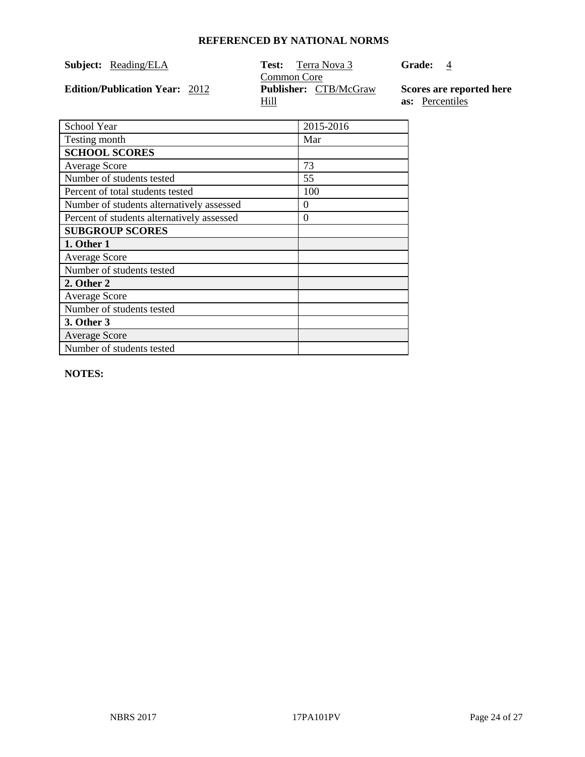| Subject:<br>Reading/ELA |  |
|-------------------------|--|
|-------------------------|--|

**Edition/Publication Year: 2012** 

**Test:** Terra Nova 3 Common Core<br> **Publisher:** CTB/McGraw Hill

**Grade:** 4

**Scores are reported here as:** Percentiles

| School Year                                | 2015-2016 |
|--------------------------------------------|-----------|
| Testing month                              | Mar       |
| <b>SCHOOL SCORES</b>                       |           |
| <b>Average Score</b>                       | 73        |
| Number of students tested                  | 55        |
| Percent of total students tested           | 100       |
| Number of students alternatively assessed  | $\theta$  |
| Percent of students alternatively assessed | $\theta$  |
| <b>SUBGROUP SCORES</b>                     |           |
| 1. Other 1                                 |           |
| <b>Average Score</b>                       |           |
| Number of students tested                  |           |
| 2. Other 2                                 |           |
| <b>Average Score</b>                       |           |
| Number of students tested                  |           |
| 3. Other 3                                 |           |
| <b>Average Score</b>                       |           |
| Number of students tested                  |           |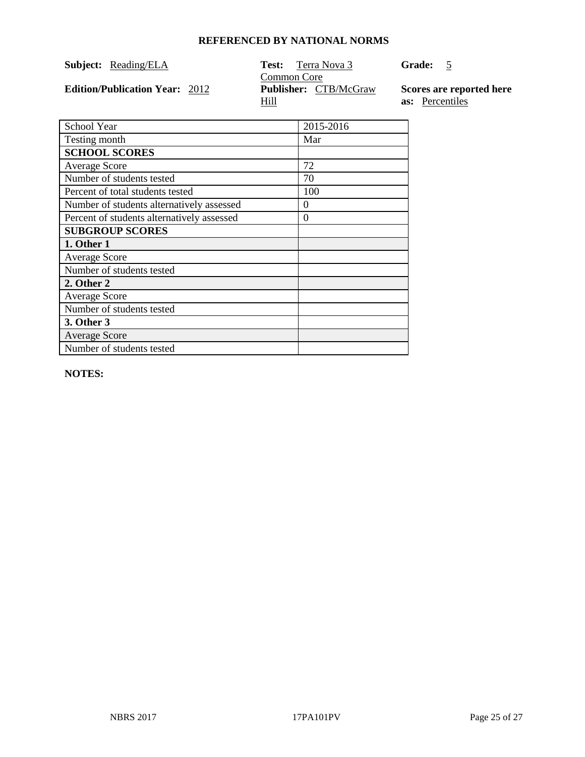| Subject: | Reading/ELA |
|----------|-------------|
|----------|-------------|

**Edition/Publication Year: 2012** 

**Test:** Terra Nova 3 Common Core<br>**Publisher:** CTB/McGraw Hill

**Grade:** 5

**Scores are reported here as:** Percentiles

| School Year                                | 2015-2016 |
|--------------------------------------------|-----------|
| Testing month                              | Mar       |
| <b>SCHOOL SCORES</b>                       |           |
| <b>Average Score</b>                       | 72        |
| Number of students tested                  | 70        |
| Percent of total students tested           | 100       |
| Number of students alternatively assessed  | $\theta$  |
| Percent of students alternatively assessed | $\theta$  |
| <b>SUBGROUP SCORES</b>                     |           |
| 1. Other 1                                 |           |
| <b>Average Score</b>                       |           |
| Number of students tested                  |           |
| 2. Other 2                                 |           |
| <b>Average Score</b>                       |           |
| Number of students tested                  |           |
| 3. Other 3                                 |           |
| <b>Average Score</b>                       |           |
| Number of students tested                  |           |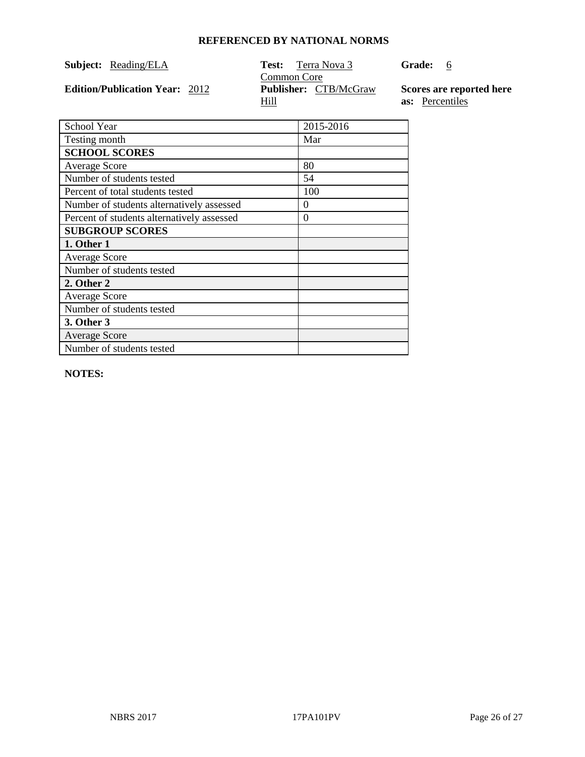|  | Subject: | Reading/ELA |
|--|----------|-------------|
|--|----------|-------------|

**Edition/Publication Year: 2012** 

**Test:** Terra Nova 3 Common Core<br> **Publisher:** CTB/McGraw Hill

**Grade:** 6

**Scores are reported here as:** Percentiles

| School Year                                | 2015-2016 |
|--------------------------------------------|-----------|
| Testing month                              | Mar       |
| <b>SCHOOL SCORES</b>                       |           |
| <b>Average Score</b>                       | 80        |
| Number of students tested                  | 54        |
| Percent of total students tested           | 100       |
| Number of students alternatively assessed  | 0         |
| Percent of students alternatively assessed | $\Omega$  |
| <b>SUBGROUP SCORES</b>                     |           |
| 1. Other 1                                 |           |
| <b>Average Score</b>                       |           |
| Number of students tested                  |           |
| 2. Other 2                                 |           |
| <b>Average Score</b>                       |           |
| Number of students tested                  |           |
| 3. Other 3                                 |           |
| <b>Average Score</b>                       |           |
| Number of students tested                  |           |